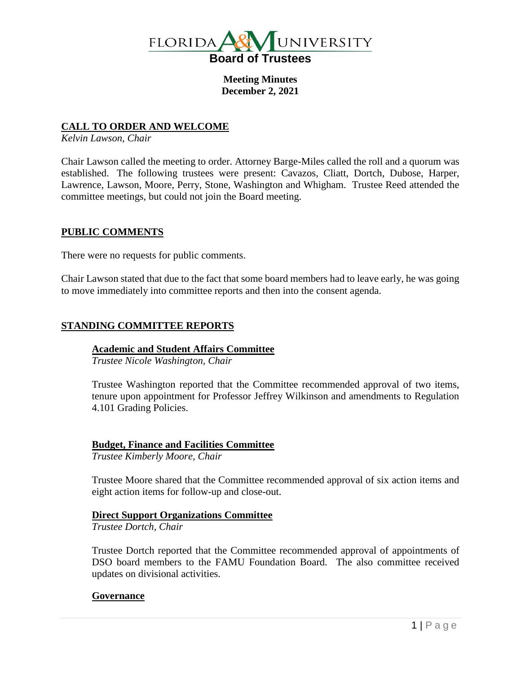

**Meeting Minutes December 2, 2021**

# **CALL TO ORDER AND WELCOME**

*Kelvin Lawson, Chair*

Chair Lawson called the meeting to order. Attorney Barge-Miles called the roll and a quorum was established. The following trustees were present: Cavazos, Cliatt, Dortch, Dubose, Harper, Lawrence, Lawson, Moore, Perry, Stone, Washington and Whigham. Trustee Reed attended the committee meetings, but could not join the Board meeting.

# **PUBLIC COMMENTS**

There were no requests for public comments.

Chair Lawson stated that due to the fact that some board members had to leave early, he was going to move immediately into committee reports and then into the consent agenda.

# **STANDING COMMITTEE REPORTS**

### **Academic and Student Affairs Committee**

*Trustee Nicole Washington, Chair*

Trustee Washington reported that the Committee recommended approval of two items, tenure upon appointment for Professor Jeffrey Wilkinson and amendments to Regulation 4.101 Grading Policies.

### **Budget, Finance and Facilities Committee**

*Trustee Kimberly Moore, Chair*

Trustee Moore shared that the Committee recommended approval of six action items and eight action items for follow-up and close-out.

# **Direct Support Organizations Committee**

*Trustee Dortch, Chair*

Trustee Dortch reported that the Committee recommended approval of appointments of DSO board members to the FAMU Foundation Board. The also committee received updates on divisional activities.

### **Governance**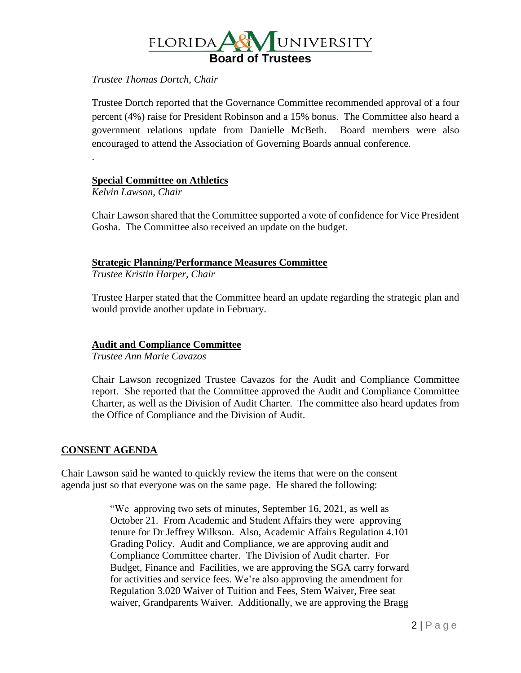

## *Trustee Thomas Dortch, Chair*

Trustee Dortch reported that the Governance Committee recommended approval of a four percent (4%) raise for President Robinson and a 15% bonus. The Committee also heard a government relations update from Danielle McBeth. Board members were also encouraged to attend the Association of Governing Boards annual conference.

**Special Committee on Athletics**

*Kelvin Lawson, Chair*

.

Chair Lawson shared that the Committee supported a vote of confidence for Vice President Gosha. The Committee also received an update on the budget.

# **Strategic Planning/Performance Measures Committee**

*Trustee Kristin Harper, Chair*

Trustee Harper stated that the Committee heard an update regarding the strategic plan and would provide another update in February.

### **Audit and Compliance Committee**

*Trustee Ann Marie Cavazos*

Chair Lawson recognized Trustee Cavazos for the Audit and Compliance Committee report. She reported that the Committee approved the Audit and Compliance Committee Charter, as well as the Division of Audit Charter. The committee also heard updates from the Office of Compliance and the Division of Audit.

### **CONSENT AGENDA**

Chair Lawson said he wanted to quickly review the items that were on the consent agenda just so that everyone was on the same page. He shared the following:

> "We approving two sets of minutes, September 16, 2021, as well as October 21. From Academic and Student Affairs they were approving tenure for Dr Jeffrey Wilkson. Also, Academic Affairs Regulation 4.101 Grading Policy. Audit and Compliance, we are approving audit and Compliance Committee charter. The Division of Audit charter. For Budget, Finance and Facilities, we are approving the SGA carry forward for activities and service fees. We're also approving the amendment for Regulation 3.020 Waiver of Tuition and Fees, Stem Waiver, Free seat waiver, Grandparents Waiver. Additionally, we are approving the Bragg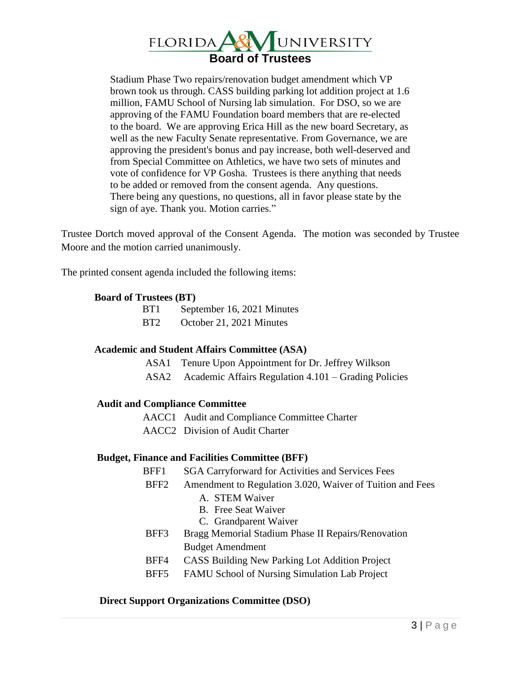

Stadium Phase Two repairs/renovation budget amendment which VP brown took us through. CASS building parking lot addition project at 1.6 million, FAMU School of Nursing lab simulation. For DSO, so we are approving of the FAMU Foundation board members that are re-elected to the board. We are approving Erica Hill as the new board Secretary, as well as the new Faculty Senate representative. From Governance, we are approving the president's bonus and pay increase, both well-deserved and from Special Committee on Athletics, we have two sets of minutes and vote of confidence for VP Gosha. Trustees is there anything that needs to be added or removed from the consent agenda. Any questions. There being any questions, no questions, all in favor please state by the sign of aye. Thank you. Motion carries."

Trustee Dortch moved approval of the Consent Agenda. The motion was seconded by Trustee Moore and the motion carried unanimously.

The printed consent agenda included the following items:

#### **Board of Trustees (BT)**

| BT <sub>1</sub> | September 16, 2021 Minutes |
|-----------------|----------------------------|
| BT <sub>2</sub> | October 21, 2021 Minutes   |

### **Academic and Student Affairs Committee (ASA)**

- ASA1 Tenure Upon Appointment for Dr. Jeffrey Wilkson
- ASA2 Academic Affairs Regulation 4.101 Grading Policies

### **Audit and Compliance Committee**

AACC1 Audit and Compliance Committee Charter

AACC2 Division of Audit Charter

#### **Budget, Finance and Facilities Committee (BFF)**

- BFF1 SGA Carryforward for Activities and Services Fees
- BFF2 Amendment to Regulation 3.020, Waiver of Tuition and Fees
	- A. STEM Waiver
	- B. Free Seat Waiver
	- C. Grandparent Waiver
- BFF3 Bragg Memorial Stadium Phase II Repairs/Renovation Budget Amendment
- BFF4 CASS Building New Parking Lot Addition Project
- BFF5 FAMU School of Nursing Simulation Lab Project

#### **Direct Support Organizations Committee (DSO)**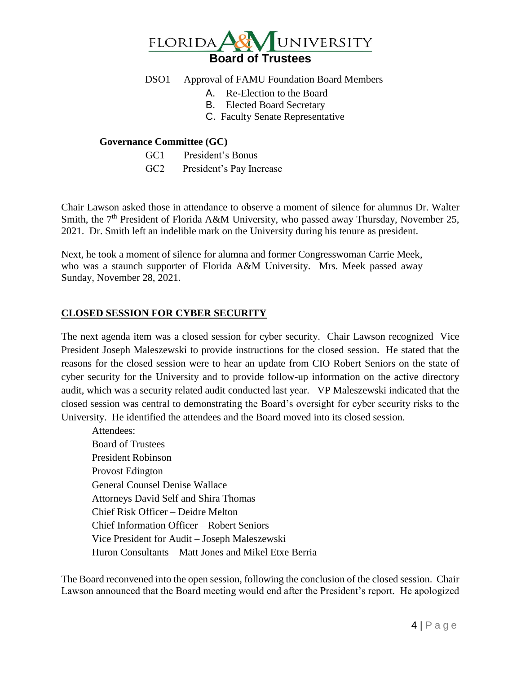

# DSO1 Approval of FAMU Foundation Board Members

- A. Re-Election to the Board
- B. Elected Board Secretary
- C. Faculty Senate Representative

## **Governance Committee (GC)**

- GC1 President's Bonus
- GC2 President's Pay Increase

Chair Lawson asked those in attendance to observe a moment of silence for alumnus Dr. Walter Smith, the  $7<sup>th</sup>$  President of Florida A&M University, who passed away Thursday, November 25, 2021. Dr. Smith left an indelible mark on the University during his tenure as president.

Next, he took a moment of silence for alumna and former Congresswoman Carrie Meek, who was a staunch supporter of Florida A&M University. Mrs. Meek passed away Sunday, November 28, 2021.

# **CLOSED SESSION FOR CYBER SECURITY**

The next agenda item was a closed session for cyber security. Chair Lawson recognized Vice President Joseph Maleszewski to provide instructions for the closed session. He stated that the reasons for the closed session were to hear an update from CIO Robert Seniors on the state of cyber security for the University and to provide follow-up information on the active directory audit, which was a security related audit conducted last year. VP Maleszewski indicated that the closed session was central to demonstrating the Board's oversight for cyber security risks to the University. He identified the attendees and the Board moved into its closed session.

Attendees: Board of Trustees President Robinson Provost Edington General Counsel Denise Wallace Attorneys David Self and Shira Thomas Chief Risk Officer – Deidre Melton Chief Information Officer – Robert Seniors Vice President for Audit – Joseph Maleszewski Huron Consultants – Matt Jones and Mikel Etxe Berria

The Board reconvened into the open session, following the conclusion of the closed session. Chair Lawson announced that the Board meeting would end after the President's report. He apologized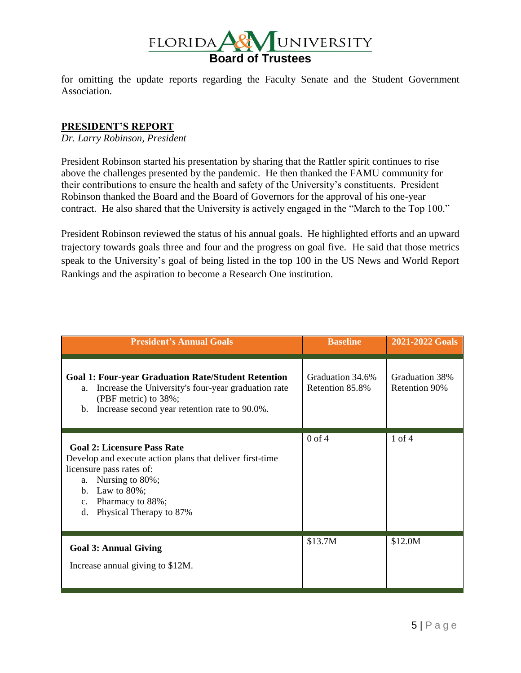

for omitting the update reports regarding the Faculty Senate and the Student Government Association.

## **PRESIDENT'S REPORT**

*Dr. Larry Robinson, President*

President Robinson started his presentation by sharing that the Rattler spirit continues to rise above the challenges presented by the pandemic. He then thanked the FAMU community for their contributions to ensure the health and safety of the University's constituents. President Robinson thanked the Board and the Board of Governors for the approval of his one-year contract. He also shared that the University is actively engaged in the "March to the Top 100."

President Robinson reviewed the status of his annual goals. He highlighted efforts and an upward trajectory towards goals three and four and the progress on goal five. He said that those metrics speak to the University's goal of being listed in the top 100 in the US News and World Report Rankings and the aspiration to become a Research One institution.

| <b>President's Annual Goals</b>                                                                                                                                                                                                                     | <b>Baseline</b>                     | 2021-2022 Goals                        |
|-----------------------------------------------------------------------------------------------------------------------------------------------------------------------------------------------------------------------------------------------------|-------------------------------------|----------------------------------------|
| <b>Goal 1: Four-year Graduation Rate/Student Retention</b><br>Increase the University's four-year graduation rate<br>a.<br>(PBF metric) to 38%;<br>Increase second year retention rate to 90.0%.<br>$\mathbf{b}$ .                                  | Graduation 34.6%<br>Retention 85.8% | Graduation 38%<br><b>Retention 90%</b> |
| <b>Goal 2: Licensure Pass Rate</b><br>Develop and execute action plans that deliver first-time<br>licensure pass rates of:<br>Nursing to 80%;<br>a.<br>Law to $80\%$ ;<br>b.<br>Pharmacy to 88%;<br>$\mathbf{c}$ .<br>Physical Therapy to 87%<br>d. | $0$ of $4$                          | $1$ of $4$                             |
| <b>Goal 3: Annual Giving</b><br>Increase annual giving to \$12M.                                                                                                                                                                                    | \$13.7M                             | \$12.0M                                |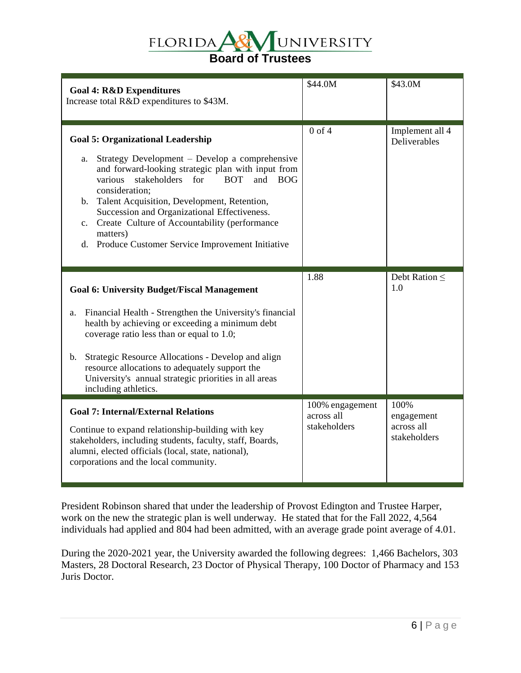# UNIVERSITY **FLORIDA Board of Trustees**

| <b>Goal 4: R&amp;D Expenditures</b><br>Increase total R&D expenditures to \$43M.                                                                                                                                                                                                                                                                                                                                                                                                  | \$44.0M                                       | \$43.0M                                          |
|-----------------------------------------------------------------------------------------------------------------------------------------------------------------------------------------------------------------------------------------------------------------------------------------------------------------------------------------------------------------------------------------------------------------------------------------------------------------------------------|-----------------------------------------------|--------------------------------------------------|
| <b>Goal 5: Organizational Leadership</b><br>Strategy Development – Develop a comprehensive<br>a.<br>and forward-looking strategic plan with input from<br>stakeholders for<br>various<br><b>BOT</b><br>and<br><b>BOG</b><br>consideration;<br>b. Talent Acquisition, Development, Retention,<br>Succession and Organizational Effectiveness.<br>Create Culture of Accountability (performance<br>$c_{\cdot}$<br>matters)<br>Produce Customer Service Improvement Initiative<br>d. | $0$ of $4$                                    | Implement all 4<br>Deliverables                  |
| <b>Goal 6: University Budget/Fiscal Management</b><br>Financial Health - Strengthen the University's financial<br>a.<br>health by achieving or exceeding a minimum debt<br>coverage ratio less than or equal to 1.0;<br>Strategic Resource Allocations - Develop and align<br>$\mathbf b$ .<br>resource allocations to adequately support the<br>University's annual strategic priorities in all areas<br>including athletics.                                                    | 1.88                                          | Debt Ration $\leq$<br>1.0                        |
| <b>Goal 7: Internal/External Relations</b><br>Continue to expand relationship-building with key<br>stakeholders, including students, faculty, staff, Boards,<br>alumni, elected officials (local, state, national),<br>corporations and the local community.                                                                                                                                                                                                                      | 100% engagement<br>across all<br>stakeholders | 100%<br>engagement<br>across all<br>stakeholders |

President Robinson shared that under the leadership of Provost Edington and Trustee Harper, work on the new the strategic plan is well underway. He stated that for the Fall 2022, 4,564 individuals had applied and 804 had been admitted, with an average grade point average of 4.01.

During the 2020-2021 year, the University awarded the following degrees: 1,466 Bachelors, 303 Masters, 28 Doctoral Research, 23 Doctor of Physical Therapy, 100 Doctor of Pharmacy and 153 Juris Doctor.